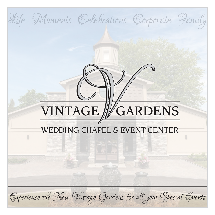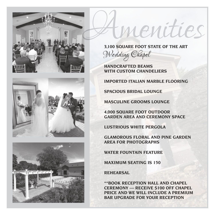





**3,100 SQUARE FOOT STATE OF THE ART** Wedding Chapel

menities

**HANDCRAFTED BEAMS WITH CUSTOM CHANDELIERS** 

**IMPORTED ITALIAN MARBLE FLOORING**

**SPACIOUS BRIDAL LOUNGE** 

**MASCULINE GROOMS LOUNGE**

**4,000 SQUARE FOOT OUTDOOR GARDEN AREA AND CEREMONY SPACE**

**LUSTRIOUS WHITE PERGOLA**

**GLAMOROUS FLORAL AND PINE GARDEN AREA FOR PHOTOGRAPHS**

**WATER FOUNTAIN FEATURE**

**MAXIMUM SEATING IS 150**

**REHEARSAL**

**\*\*BOOK RECEPTION HALL AND CHAPEL CEREMONY — RECEIVE \$100 OFF CHAPEL PRICE AND WE WILL INCLUDE A PREMIUM BAR UPGRADE FOR YOUR RECEPTION**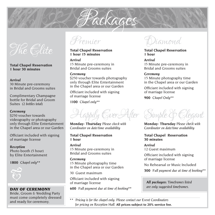# The Clite

**Total Chapel Reservation 1 hour 30 minutes**

### *Arrival*

30 Minute pre-ceremony in Bridal and Grooms suites

Complimentary Champagne bottle for Bridal and Groom Suites *(2 bottles total)* 

#### *Ceremony*

\$250 voucher towards videography or photography only through Elite Entertainment in the Chapel area or our Garden

Officiant included with signing of marriage license

*Reception*  Photo booth (5 hour) by Elite Entertainment

**1800** *Chapel only***\*\***



Bride, Groom & Wedding Party must come completely dressed and ready for ceremony.



**Total Chapel Reservation 1 hour 15 minutes**

*Arrival*  15 Minute pre-ceremony in Bridal and Grooms suites

#### *Ceremony*

\$250 voucher towards photography only through Elite Entertainment in the Chapel area or our Garden

Officiant included with signing of marriage license

**1100** *Chapel only***\*\***

Happily Gver After Simple & Glegart

Packages

**Monday- Thursday** *Please check with Coordinator on date/time availability*

**Total Chapel Reservation 1 hour**

*Arrival*  15 Minute pre-ceremony in Bridal and Grooms suites

*Ceremony*  15 Minute photography time in the Chapel area or our Garden

30 Guest maximum

Officiant included with signing of marriage license

**DAY OF CEREMONY** 600 Full payment due at time of booking\*\* are only suggested timeframes.

Diamond

**Total Chapel Reservation 1 hour**

*Arrival*  15 Minute pre-ceremony in Bridal and Grooms suites

#### *Ceremony*

15 Minute photography time in the Chapel area or our Garden

Officiant included with signing of marriage license

**900** *Chapel Only***\*\***



**Monday- Thursday** *Please check with Coordinator on date/time availability*

**Total Chapel Reservation 30 minutes**

*Arrival*  12 Guest maximum

Officiant included with signing of marriage license

No Rehearsal or Music Included

**300** *Full payment due at time of booking***\*\***

*All packages: Timeframes listed* 

\*\**Pricing is for the chapel only. Please contact our Event Coordinators for pricing on Reception Hall.* **All prices subject to 20% service fee.**